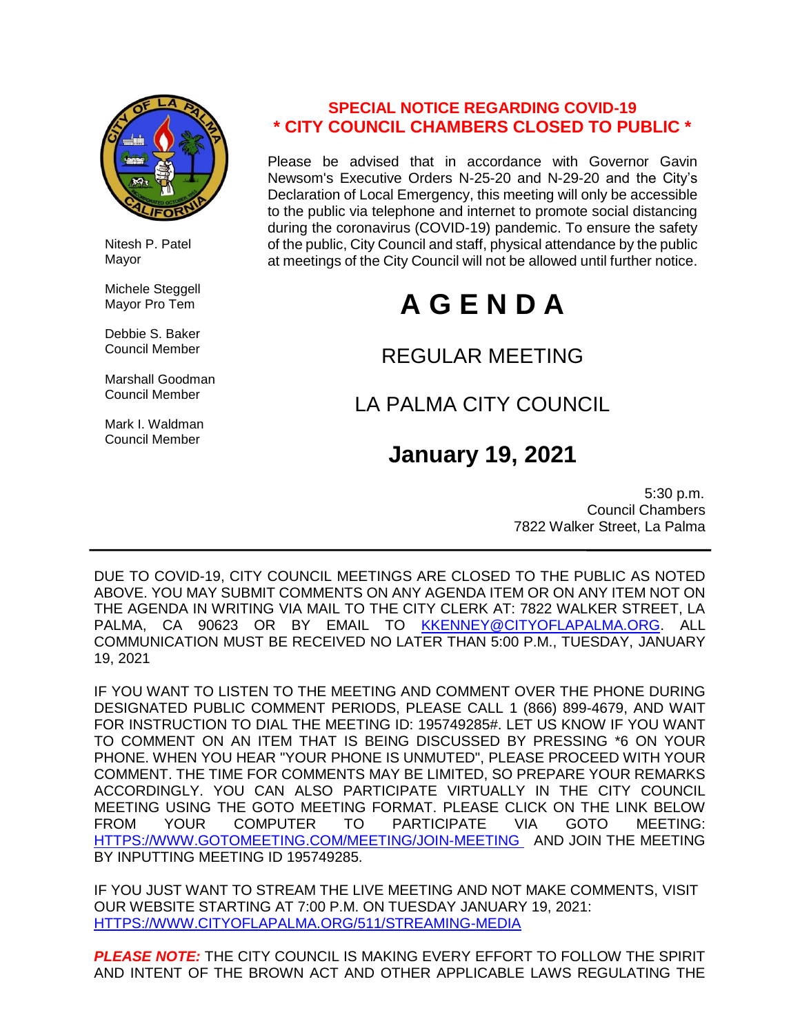

 Nitesh P. Patel Mayor

 Michele Steggell Mayor Pro Tem

 Debbie S. Baker Council Member

 Marshall Goodman Council Member

 Mark I. Waldman Council Member

### **SPECIAL NOTICE REGARDING COVID-19 \* CITY COUNCIL CHAMBERS CLOSED TO PUBLIC \***

Please be advised that in accordance with Governor Gavin Newsom's Executive Orders N-25-20 and N-29-20 and the City's Declaration of Local Emergency, this meeting will only be accessible to the public via telephone and internet to promote social distancing during the coronavirus (COVID-19) pandemic. To ensure the safety of the public, City Council and staff, physical attendance by the public at meetings of the City Council will not be allowed until further notice.

# **A G E N D A**

## REGULAR MEETING

# LA PALMA CITY COUNCIL

# **January 19, 2021**

 5:30 p.m. Council Chambers 7822 Walker Street, La Palma

DUE TO COVID-19, CITY COUNCIL MEETINGS ARE CLOSED TO THE PUBLIC AS NOTED ABOVE. YOU MAY SUBMIT COMMENTS ON ANY AGENDA ITEM OR ON ANY ITEM NOT ON THE AGENDA IN WRITING VIA MAIL TO THE CITY CLERK AT: 7822 WALKER STREET, LA PALMA, CA 90623 OR BY EMAIL TO [KKENNEY@CITYOFLAPALMA.ORG.](mailto:KKENNEY@CITYOFLAPALMA.ORG) ALL COMMUNICATION MUST BE RECEIVED NO LATER THAN 5:00 P.M., TUESDAY, JANUARY 19, 2021

IF YOU WANT TO LISTEN TO THE MEETING AND COMMENT OVER THE PHONE DURING DESIGNATED PUBLIC COMMENT PERIODS, PLEASE CALL 1 (866) 899-4679, AND WAIT FOR INSTRUCTION TO DIAL THE MEETING ID: 195749285#. LET US KNOW IF YOU WANT TO COMMENT ON AN ITEM THAT IS BEING DISCUSSED BY PRESSING \*6 ON YOUR PHONE. WHEN YOU HEAR "YOUR PHONE IS UNMUTED", PLEASE PROCEED WITH YOUR COMMENT. THE TIME FOR COMMENTS MAY BE LIMITED, SO PREPARE YOUR REMARKS ACCORDINGLY. YOU CAN ALSO PARTICIPATE VIRTUALLY IN THE CITY COUNCIL MEETING USING THE GOTO MEETING FORMAT. PLEASE CLICK ON THE LINK BELOW FROM YOUR COMPUTER TO PARTICIPATE VIA GOTO MEETING: [HTTPS://WWW.GOTOMEETING.COM/MEETING/JOIN-MEETING](https://www.gotomeeting.com/meeting/join-meeting) AND JOIN THE MEETING BY INPUTTING MEETING ID 195749285.

IF YOU JUST WANT TO STREAM THE LIVE MEETING AND NOT MAKE COMMENTS, VISIT OUR WEBSITE STARTING AT 7:00 P.M. ON TUESDAY JANUARY 19, 2021: [HTTPS://WWW.CITYOFLAPALMA.ORG/511/STREAMING-MEDIA](https://www.cityoflapalma.org/511/Streaming-Media)

*PLEASE NOTE:* THE CITY COUNCIL IS MAKING EVERY EFFORT TO FOLLOW THE SPIRIT AND INTENT OF THE BROWN ACT AND OTHER APPLICABLE LAWS REGULATING THE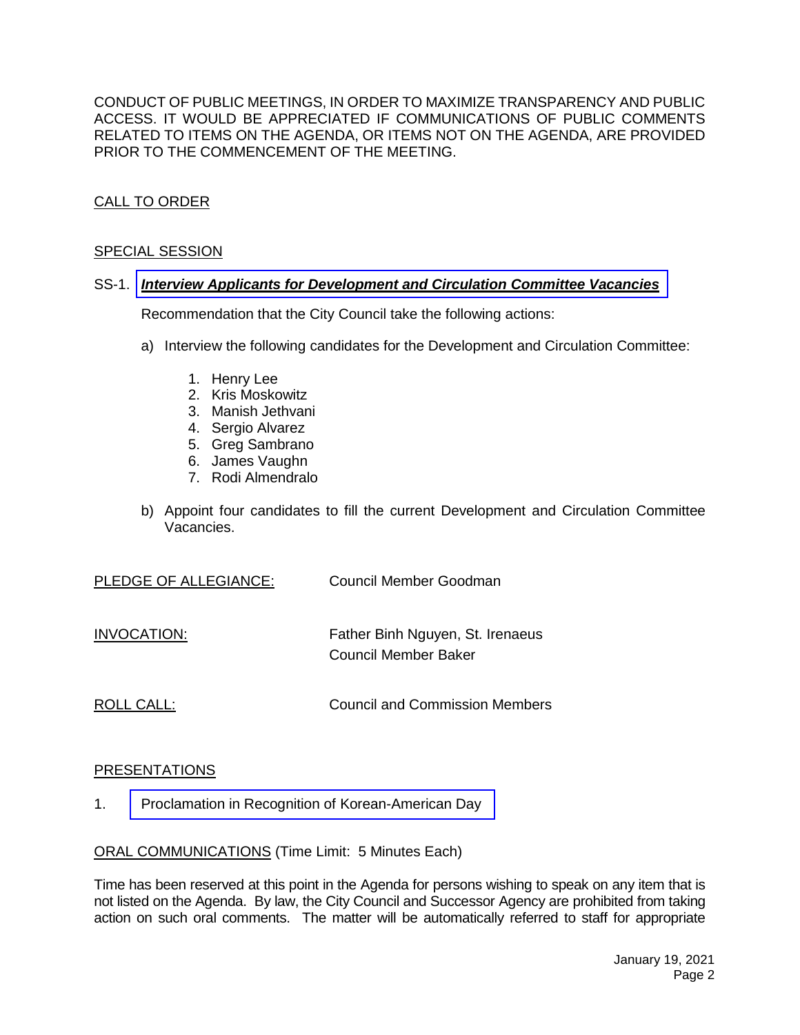CONDUCT OF PUBLIC MEETINGS, IN ORDER TO MAXIMIZE TRANSPARENCY AND PUBLIC ACCESS. IT WOULD BE APPRECIATED IF COMMUNICATIONS OF PUBLIC COMMENTS RELATED TO ITEMS ON THE AGENDA, OR ITEMS NOT ON THE AGENDA, ARE PROVIDED PRIOR TO THE COMMENCEMENT OF THE MEETING.

#### CALL TO ORDER

#### SPECIAL SESSION

#### SS-1. *[Interview Applicants for Development and Circulation Committee](https://www.cityoflapalma.org/DocumentCenter/View/10681/Item-SS-1_DCC-Interviews) Vacancies*

Recommendation that the City Council take the following actions:

- a) Interview the following candidates for the Development and Circulation Committee:
	- 1. Henry Lee
	- 2. Kris Moskowitz
	- 3. Manish Jethvani
	- 4. Sergio Alvarez
	- 5. Greg Sambrano
	- 6. James Vaughn
	- 7. Rodi Almendralo
- b) Appoint four candidates to fill the current Development and Circulation Committee Vacancies.

| PLEDGE OF ALLEGIANCE:<br>Council Member Goodman |
|-------------------------------------------------|
|-------------------------------------------------|

INVOCATION: Father Binh Nguyen, St. Irenaeus Council Member Baker

ROLL CALL: COUNCIL CALL: Council and Commission Members

#### PRESENTATIONS

1. [Proclamation in Recognition of Korean-American Day](https://www.cityoflapalma.org/DocumentCenter/View/10690/Korean-American-Day-011321)

ORAL COMMUNICATIONS (Time Limit: 5 Minutes Each)

Time has been reserved at this point in the Agenda for persons wishing to speak on any item that is not listed on the Agenda. By law, the City Council and Successor Agency are prohibited from taking action on such oral comments. The matter will be automatically referred to staff for appropriate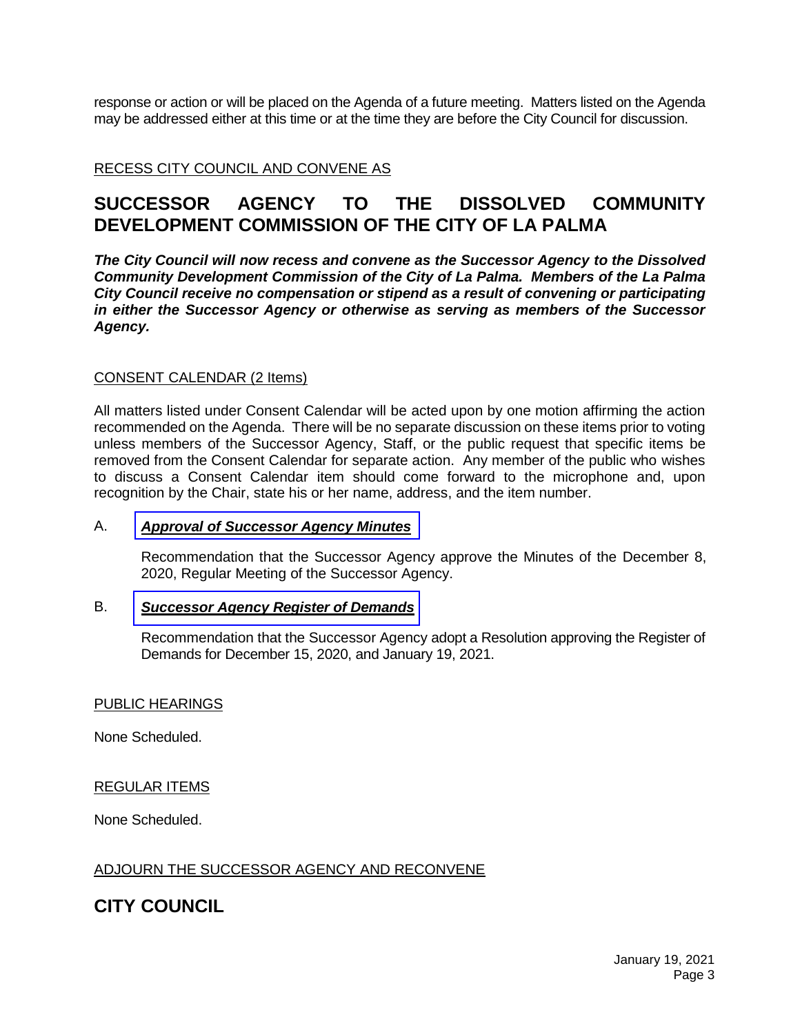response or action or will be placed on the Agenda of a future meeting. Matters listed on the Agenda may be addressed either at this time or at the time they are before the City Council for discussion.

#### RECESS CITY COUNCIL AND CONVENE AS

### **SUCCESSOR AGENCY TO THE DISSOLVED COMMUNITY DEVELOPMENT COMMISSION OF THE CITY OF LA PALMA**

*The City Council will now recess and convene as the Successor Agency to the Dissolved Community Development Commission of the City of La Palma. Members of the La Palma City Council receive no compensation or stipend as a result of convening or participating in either the Successor Agency or otherwise as serving as members of the Successor Agency.*

#### CONSENT CALENDAR (2 Items)

All matters listed under Consent Calendar will be acted upon by one motion affirming the action recommended on the Agenda. There will be no separate discussion on these items prior to voting unless members of the Successor Agency, Staff, or the public request that specific items be removed from the Consent Calendar for separate action. Any member of the public who wishes to discuss a Consent Calendar item should come forward to the microphone and, upon recognition by the Chair, state his or her name, address, and the item number.

#### A. *Approval of [Successor](https://www.cityoflapalma.org/DocumentCenter/View/10679/Item-A_SA-Minutes-120820) Agency Minutes*

Recommendation that the Successor Agency approve the Minutes of the December 8, 2020, Regular Meeting of the Successor Agency.

#### B. *Successor Agency [Register of Demands](https://www.cityoflapalma.org/DocumentCenter/View/10680/Item-B_SA-Warrants-WEB)*

Recommendation that the Successor Agency adopt a Resolution approving the Register of Demands for December 15, 2020, and January 19, 2021.

#### PUBLIC HEARINGS

None Scheduled.

#### REGULAR ITEMS

None Scheduled.

#### ADJOURN THE SUCCESSOR AGENCY AND RECONVENE

### **CITY COUNCIL**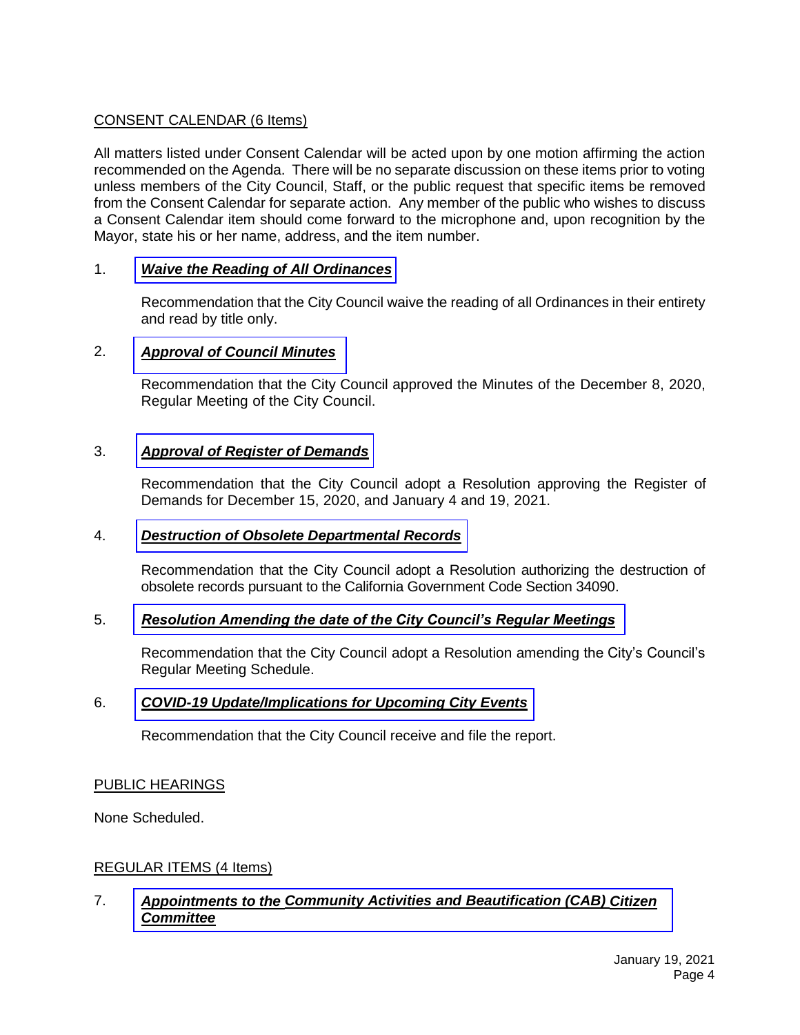#### CONSENT CALENDAR (6 Items)

All matters listed under Consent Calendar will be acted upon by one motion affirming the action recommended on the Agenda. There will be no separate discussion on these items prior to voting unless members of the City Council, Staff, or the public request that specific items be removed from the Consent Calendar for separate action. Any member of the public who wishes to discuss a Consent Calendar item should come forward to the microphone and, upon recognition by the Mayor, state his or her name, address, and the item number.

#### 1. *[Waive the Reading of All Ordinances](https://www.cityoflapalma.org/DocumentCenter/View/10682/Item-1_Waive-Reading-of-Ordinances)*

Recommendation that the City Council waive the reading of all Ordinances in their entirety and read by title only.

#### 2. *[Approval of Council Minutes](https://www.cityoflapalma.org/DocumentCenter/View/10683/Item-2_City-Council-Minutes)*

Recommendation that the City Council approved the Minutes of the December 8, 2020, Regular Meeting of the City Council.

#### 3. *[Approval of Register of Demands](https://www.cityoflapalma.org/DocumentCenter/View/10684/Item-3_-CC-Warrants-WEB)*

Recommendation that the City Council adopt a Resolution approving the Register of Demands for December 15, 2020, and January 4 and 19, 2021.

#### 4. *[Destruction of Obsolete Departmental Records](https://www.cityoflapalma.org/DocumentCenter/View/10685/Item-4_Records-Destruction-2021)*

Recommendation that the City Council adopt a Resolution authorizing the destruction of obsolete records pursuant to the California Government Code Section 34090.

#### 5. *[Resolution Amending the date of the City Council's Regular Meetings](https://www.cityoflapalma.org/DocumentCenter/View/10686/Item-5_Reso-to-Modify-CC-Mtg-Schedule)*

Recommendation that the City Council adopt a Resolution amending the City's Council's Regular Meeting Schedule.

#### 6. *[COVID-19 Update/Implications for Upcoming City Events](https://www.cityoflapalma.org/DocumentCenter/View/10687/Item-6_COVID-19-Update-1-19-21)*

Recommendation that the City Council receive and file the report.

#### PUBLIC HEARINGS

None Scheduled.

#### REGULAR ITEMS (4 Items)

#### 7. *Appointments to the Community Activities and [Beautification \(CAB\)](https://www.cityoflapalma.org/DocumentCenter/View/10688/Item-7_CAB-Citizen-Committee-Appts) Citizen Committee*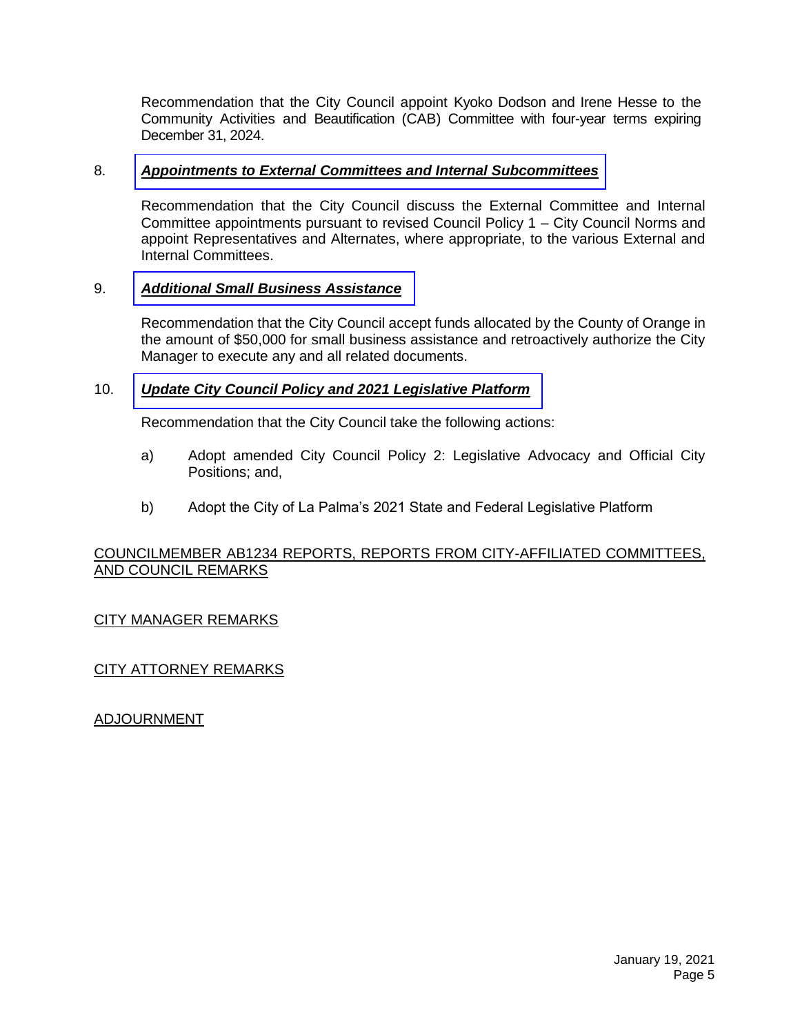Recommendation that the City Council appoint Kyoko Dodson and Irene Hesse to the Community Activities and Beautification (CAB) Committee with four-year terms expiring December 31, 2024.

#### 8. *[Appointments to External Committees and Internal Subcommittees](https://www.cityoflapalma.org/DocumentCenter/View/10676/Item-8_Committee-Appointments-2021)*

Recommendation that the City Council discuss the External Committee and Internal Committee appointments pursuant to revised Council Policy 1 – City Council Norms and appoint Representatives and Alternates, where appropriate, to the various External and Internal Committees.

#### 9. *[Additional Small Business Assistance](https://www.cityoflapalma.org/DocumentCenter/View/10677/Item-9_Small-Business-Grant-Funding)*

Recommendation that the City Council accept funds allocated by the County of Orange in the amount of \$50,000 for small business assistance and retroactively authorize the City Manager to execute any and all related documents.

#### 10. *[Update City Council Policy and 2021 Legislative Platform](https://www.cityoflapalma.org/DocumentCenter/View/10678/Item-10_Council-Policy-Update-and-2021-Legislative-Platform)*

Recommendation that the City Council take the following actions:

- a) Adopt amended City Council Policy 2: Legislative Advocacy and Official City Positions; and,
- b) Adopt the City of La Palma's 2021 State and Federal Legislative Platform

#### COUNCILMEMBER AB1234 REPORTS, REPORTS FROM CITY-AFFILIATED COMMITTEES, AND COUNCIL REMARKS

#### CITY MANAGER REMARKS

#### CITY ATTORNEY REMARKS

ADJOURNMENT